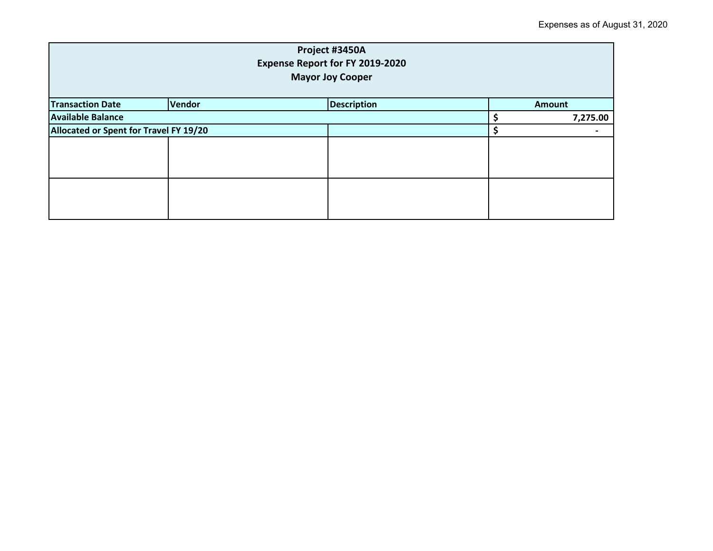| Project #3450A<br><b>Expense Report for FY 2019-2020</b><br><b>Mayor Joy Cooper</b> |               |                    |  |               |  |
|-------------------------------------------------------------------------------------|---------------|--------------------|--|---------------|--|
| <b>Transaction Date</b>                                                             | <b>Vendor</b> | <b>Description</b> |  | <b>Amount</b> |  |
| <b>Available Balance</b>                                                            |               |                    |  | 7,275.00      |  |
| Allocated or Spent for Travel FY 19/20                                              |               |                    |  |               |  |
|                                                                                     |               |                    |  |               |  |
|                                                                                     |               |                    |  |               |  |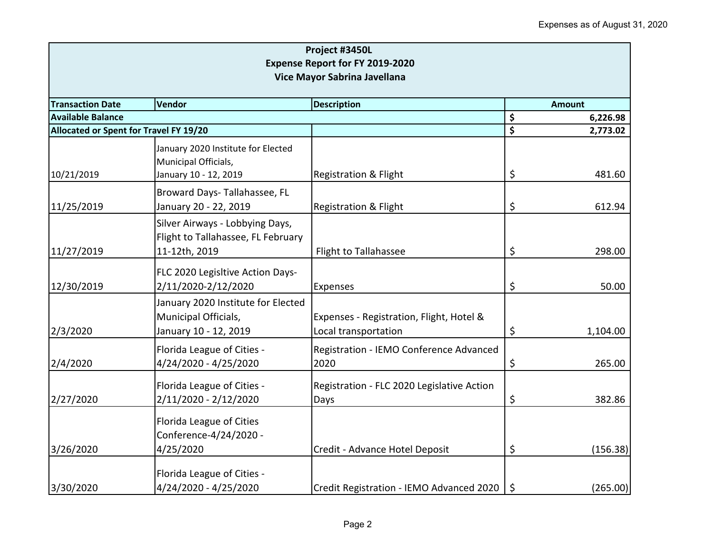| Project #3450L<br><b>Expense Report for FY 2019-2020</b> |                                                                                     |                                                                  |         |               |  |
|----------------------------------------------------------|-------------------------------------------------------------------------------------|------------------------------------------------------------------|---------|---------------|--|
| Vice Mayor Sabrina Javellana                             |                                                                                     |                                                                  |         |               |  |
| <b>Transaction Date</b>                                  | Vendor<br><b>Description</b>                                                        |                                                                  |         | <b>Amount</b> |  |
| <b>Available Balance</b>                                 |                                                                                     |                                                                  | \$      | 6,226.98      |  |
| Allocated or Spent for Travel FY 19/20                   |                                                                                     |                                                                  | \$      | 2,773.02      |  |
|                                                          | January 2020 Institute for Elected<br>Municipal Officials,                          |                                                                  |         |               |  |
| 10/21/2019                                               | January 10 - 12, 2019                                                               | <b>Registration &amp; Flight</b>                                 | \$      | 481.60        |  |
| 11/25/2019                                               | Broward Days- Tallahassee, FL<br>January 20 - 22, 2019                              | <b>Registration &amp; Flight</b>                                 | \$      | 612.94        |  |
|                                                          | Silver Airways - Lobbying Days,<br>Flight to Tallahassee, FL February               |                                                                  |         |               |  |
| 11/27/2019                                               | 11-12th, 2019                                                                       | <b>Flight to Tallahassee</b>                                     | \$      | 298.00        |  |
| 12/30/2019                                               | FLC 2020 Legisltive Action Days-<br>2/11/2020-2/12/2020                             | Expenses                                                         | \$      | 50.00         |  |
| 2/3/2020                                                 | January 2020 Institute for Elected<br>Municipal Officials,<br>January 10 - 12, 2019 | Expenses - Registration, Flight, Hotel &<br>Local transportation | \$      | 1,104.00      |  |
| 2/4/2020                                                 | Florida League of Cities -<br>4/24/2020 - 4/25/2020                                 | Registration - IEMO Conference Advanced<br>2020                  | \$      | 265.00        |  |
| 2/27/2020                                                | Florida League of Cities -<br>2/11/2020 - 2/12/2020                                 | Registration - FLC 2020 Legislative Action<br>Days               | \$      | 382.86        |  |
|                                                          | Florida League of Cities<br>Conference-4/24/2020 -                                  |                                                                  |         |               |  |
| 3/26/2020                                                | 4/25/2020                                                                           | Credit - Advance Hotel Deposit                                   | \$      | (156.38)      |  |
| 3/30/2020                                                | Florida League of Cities -<br>4/24/2020 - 4/25/2020                                 | Credit Registration - IEMO Advanced 2020                         | $\zeta$ | (265.00)      |  |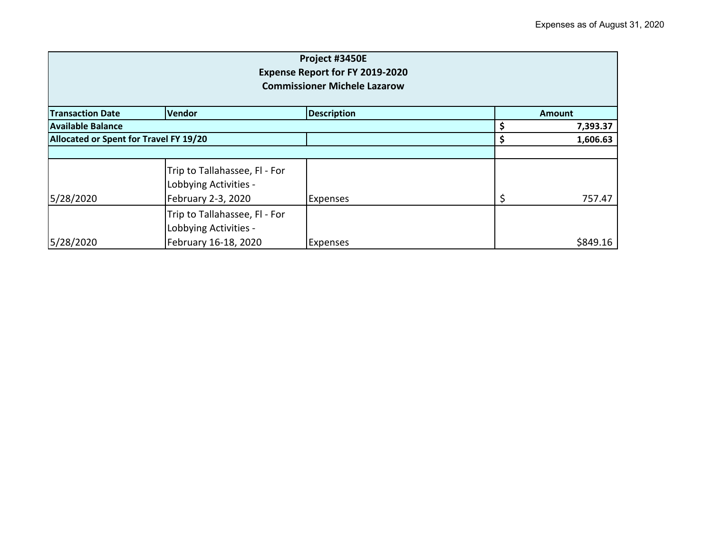| Project #3450E<br>Expense Report for FY 2019-2020<br><b>Commissioner Michele Lazarow</b> |                                                                                |                    |    |               |  |
|------------------------------------------------------------------------------------------|--------------------------------------------------------------------------------|--------------------|----|---------------|--|
| <b>Transaction Date</b>                                                                  | Vendor                                                                         | <b>Description</b> |    | <b>Amount</b> |  |
| <b>Available Balance</b>                                                                 |                                                                                |                    |    | 7,393.37      |  |
| Allocated or Spent for Travel FY 19/20                                                   |                                                                                |                    | Ş  | 1,606.63      |  |
|                                                                                          |                                                                                |                    |    |               |  |
| 5/28/2020                                                                                | Trip to Tallahassee, Fl - For<br>Lobbying Activities -<br>February 2-3, 2020   | <b>Expenses</b>    | \$ | 757.47        |  |
| 5/28/2020                                                                                | Trip to Tallahassee, Fl - For<br>Lobbying Activities -<br>February 16-18, 2020 | <b>Expenses</b>    |    | \$849.16      |  |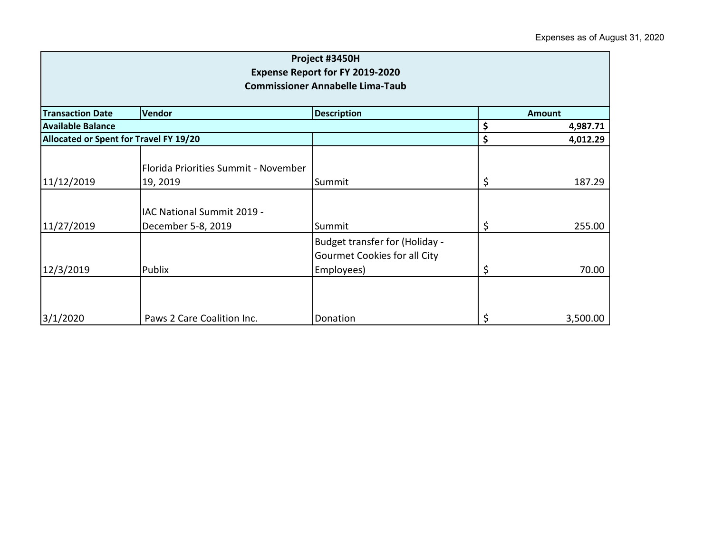| Project #3450H<br><b>Expense Report for FY 2019-2020</b><br><b>Commissioner Annabelle Lima-Taub</b> |                                                  |                                                                              |    |               |  |
|-----------------------------------------------------------------------------------------------------|--------------------------------------------------|------------------------------------------------------------------------------|----|---------------|--|
| <b>Transaction Date</b>                                                                             | Vendor                                           | <b>Description</b>                                                           |    | <b>Amount</b> |  |
| <b>Available Balance</b>                                                                            |                                                  |                                                                              | \$ | 4,987.71      |  |
| Allocated or Spent for Travel FY 19/20                                                              |                                                  |                                                                              | \$ | 4,012.29      |  |
| 11/12/2019                                                                                          | Florida Priorities Summit - November<br>19, 2019 | Summit                                                                       | \$ | 187.29        |  |
| 11/27/2019                                                                                          | IAC National Summit 2019 -<br>December 5-8, 2019 | Summit                                                                       | \$ | 255.00        |  |
| 12/3/2019                                                                                           | Publix                                           | Budget transfer for (Holiday -<br>Gourmet Cookies for all City<br>Employees) | \$ | 70.00         |  |
| 3/1/2020                                                                                            | Paws 2 Care Coalition Inc.                       | Donation                                                                     | \$ | 3,500.00      |  |